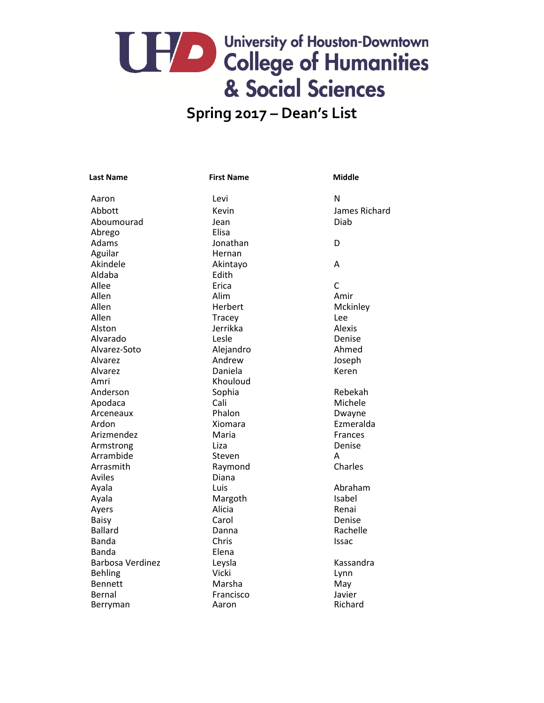### **Spring 2017 – Dean's List**

| <b>Last Name</b> | <b>First Name</b> | <b>Middle</b>  |
|------------------|-------------------|----------------|
| Aaron            | Levi              | N              |
| Abbott           | Kevin             | James Richard  |
| Aboumourad       | Jean              | Diab           |
| Abrego           | Elisa             |                |
| Adams            | Jonathan          | D              |
| Aguilar          | Hernan            |                |
| Akindele         | Akintayo          | А              |
| Aldaba           | Edith             |                |
| Allee            | Erica             | $\mathsf{C}$   |
| Allen            | Alim              | Amir           |
| Allen            | Herbert           | Mckinley       |
| Allen            | Tracey            | Lee            |
| Alston           | Jerrikka          | <b>Alexis</b>  |
| Alvarado         | Lesle             | Denise         |
| Alvarez-Soto     | Alejandro         | Ahmed          |
| Alvarez          | Andrew            | Joseph         |
| Alvarez          | Daniela           | Keren          |
| Amri             | Khouloud          |                |
| Anderson         | Sophia            | Rebekah        |
| Apodaca          | Cali              | Michele        |
| Arceneaux        | Phalon            | Dwayne         |
| Ardon            | Xiomara           | Ezmeralda      |
| Arizmendez       | Maria             | <b>Frances</b> |
| Armstrong        | Liza              | Denise         |
| Arrambide        | Steven            | А              |
| Arrasmith        | Raymond           | Charles        |
| Aviles           | Diana             |                |
| Ayala            | Luis              | Abraham        |
| Ayala            | Margoth           | Isabel         |
| Ayers            | Alicia            | Renai          |
| <b>Baisy</b>     | Carol             | Denise         |
| Ballard          | Danna             | Rachelle       |
| Banda            | Chris             | Issac          |
| Banda            | Elena             |                |
| Barbosa Verdinez | Leysla            | Kassandra      |
| <b>Behling</b>   | Vicki             | Lynn           |
| <b>Bennett</b>   | Marsha            | May            |
| Bernal           | Francisco         | Javier         |
| Berryman         | Aaron             | Richard        |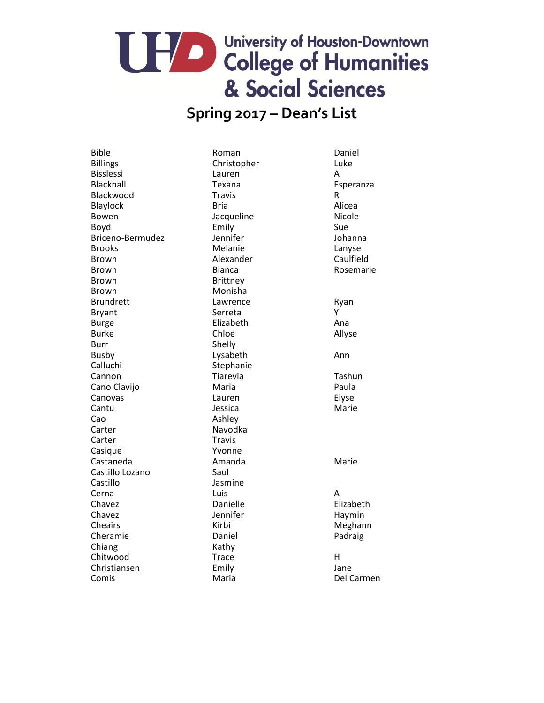#### **Spring 2017 – Dean's List**

Bible **Roman** Roman Daniel Billings **Christopher** Christopher Luke Bisslessi Lauren A Blacknall **Exana Exana** Esperanza Blackwood **Travis** Travis R Blaylock Bria Bria Alicea Bowen Jacqueline Micole Boyd Emily Sue Briceno-Bermudez Jennifer Johanna Brooks Melanie Melanie Lanyse Brown **Alexander** Caulfield Brown Bianca Bianca Rosemarie Brown Brittney Brown Monisha Brundrett Lawrence Ryan Bryant **Serreta** Serreta Burge **Elizabeth** Elizabeth Ana Burke Chloe Chloe Allyse Burr Shelly Busby **Lysabeth Ann** Calluchi Stephanie Cannon Tiarevia Tiarevia Tashun Cano Clavijo **Maria** Paula Canovas Lauren Elyse Cantu Jessica Marie Cao Ashley Carter Navodka Carter Travis Casique Yvonne Castaneda Amanda Marie Castillo Lozano Saul Castillo Jasmine Cerna Luis A Chavez Danielle Elizabeth Chavez **Galacter Chavez** Jennifer **Haymin** Cheairs **Meghann** Kirbi **Meghann** Cheramie Daniel Daniel Padraig Chiang Kathy Chitwood Trace H Christiansen Emily Jane Comis Maria Del Carmen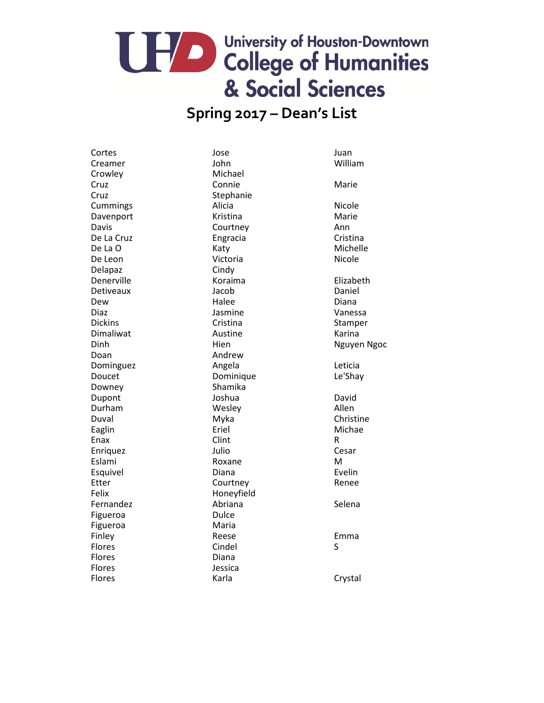#### **Spring 2017 – Dean's List**

Cortes and the Society of Society Assembly Jose and Juan Creamer John William Crowley Michael Cruz Connie Connie Marie Cruz Stephanie Cummings Alicia Alicia Nicole Davenport Kristina Marie Davis Courtney **Courtney** Ann De La Cruz **Engracia** Engracia Cristina De La O and America Katy Michelle Michelle De Leon Victoria Nicole Delapaz Cindy Denerville **Koraima** Koraima Elizabeth Detiveaux Jacob Daniel Dew **Halee Halee Diana** Diaz **Jasmine** Vanessa Dickins Cristina Cristina Stamper Dimaliwat **Austine** Austine Karina Dinh Manuel Hien Niguyen Ngoc Doan Andrew Dominguez **Angela** Angela **Leticia** Doucet Dominique Le'Shay Downey **Shamika** Dupont **Dupont** Joshua **David** Durham Wesley Nessey Allen Duval Myka Christine Eaglin **Example 2018** Eriel **Example 2018** Michae Enax **Clint** Clint **R** Enriquez Julio Cesar Eslami Roxane M Esquivel **Diana Example 2018** Etter **Courtney** Courtney **Renee** Felix Honeyfield Fernandez **Abriana** Abriana Selena Figueroa **Dulce** Figueroa Maria Finley **Emma** Reese **Emma** Flores Solution Cindel Solution Superior Superior Superior Superior Superior Superior Superior Superior Superior S Flores Diana Flores Jessica Flores **Karla** Karla Crystal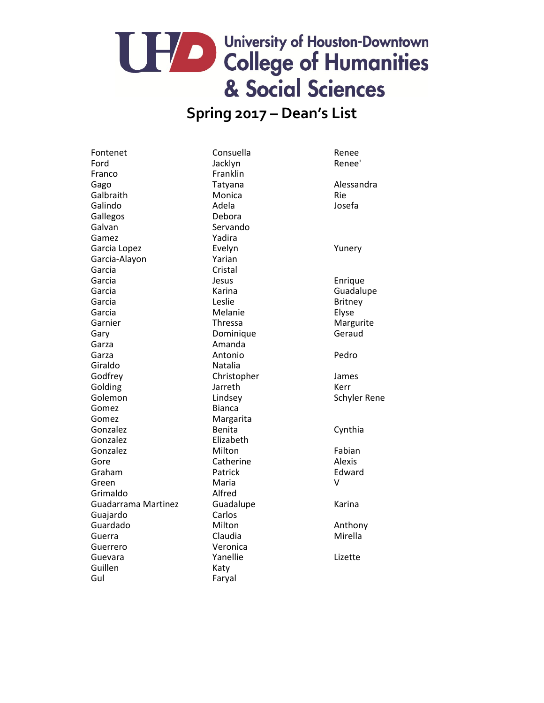#### **Spring 2017 – Dean's List**

Fontenet Consuella Renee Ford Backlyn Macklyn Renee' Franco Franklin Gago Tatyana Tatana Alessandra Galbraith Monica Rie Galindo **Adela** Adela **Josefa** Gallegos Debora Galvan Servando Gamez Yadira Garcia Lopez **Evelyn** Evelyn **Exelyn Evelyn** Garcia-Alayon Yarian Garcia Cristal Garcia **Garcia** Jesus **International Literature Enrique** Garcia **Carcia Carrier Carrier Carrier Carrier Carrier Carrier Carrier Carrier Carrier Carrier Carrier Carrier Carrier Carrier Carrier Carrier Carrier Carrier Carrier Carrier Carrier Carrier Carrier Carrier Carrier Carrier** Garcia **Carcia** Leslie **Carcia** Britney Garcia **Melanie** Melanie Elyse Garnier **Thressa** Thressa Margurite Gary **Dominique** Geraud Garza **Amanda** Garza **Antonio** Pedro Giraldo Natalia Godfrey Christopher James Golding **Golding Colding Colding Colding Colding Colding Colding Colding Colding Colding Colding Colding Colding Colding Colding Colding Colding Colding Colding Colding Colding Col** Golemon Lindsey Schyler Rene Gomez Bianca Gomez Margarita Gonzalez **Benita** Benita Cynthia Gonzalez **Elizabeth** Gonzalez Milton Milton Fabian Gore **Catherine** Catherine Alexis Graham **Patrick** Patrick **Edward** Green Maria V Grimaldo Alfred Guadarrama Martinez Guadalupe **Karina** Guajardo Carlos Guardado Milton Milton Anthony Guerra Claudia Mirella Guerrero Veronica Guevara **Manualism Constructs** Yanellie **Constructs** Lizette Guillen Katy Gul Faryal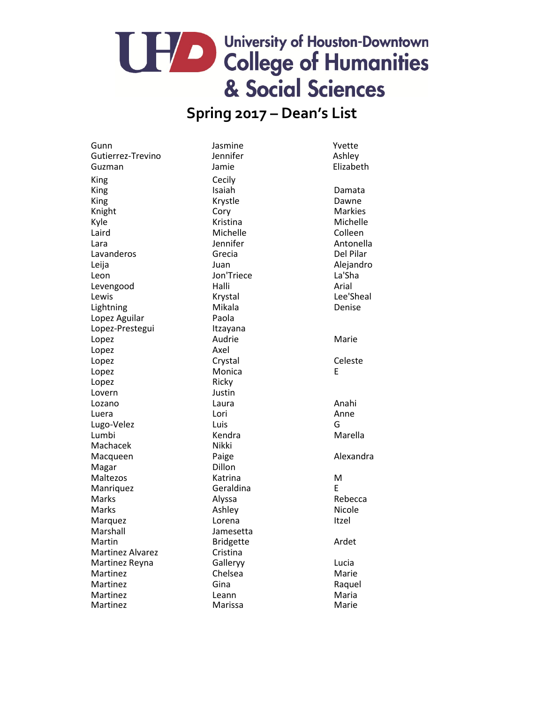## UHA College of Humanities & Social Sciences

#### **Spring 2017 – Dean's List**

Gunn Jasmine Sunn Yvette<br>Gutierrez-Trevino Jennifer Sunner Ashley Gutierrez-Trevino Guzman Jamie **Jamie** Elizabeth King Cecily<br>
King Cecily<br>
King Cecilom King **Isaiah** Damata King **Example 2018** Krystle **Contracts** Contract Dawne Knight Cory Cory Markies Kyle **Kristina** Kristina Michelle Laird **Michelle** Colleen Lara **International Lara** Jennifer Antonella Lavanderos Grecia Computer Contract Computer Contract Del Pilar Leija Juan Alejandro Leon Jon'Triece La'Sha Levengood Halli Halli Arial Lewis **Example 2018** Krystal Chronicle Lee'Sheal Lightning Mikala Denise Lopez Aguilar **Paola** Lopez-Prestegui Itzayana Lopez **Audrie** Marie Marie Lopez Axel Lopez Crystal Crystal Communications Celeste Lopez **Monica** E Lopez Ricky Lovern Justin Lozano **Laura** Laura **Anahi** Luera Lori Anne Lugo-Velez Luis G Lumbi **Kendra** Kendra Marella Machacek Nikki Macqueen **Paige** Paige **Alexandra** Magar Dillon Maltezos **Katrina** Maltezos M Manriquez **Geraldina** E Marks **Alyssa** Alyssa Rebecca Marks **Ashley** Ashley Micole Marquez **IDED** Lorena Itzel Marshall Jamesetta Martin **Martin** Bridgette **Ardet** Martinez Alvarez **Cristina** Martinez Reyna Galleryy Controller Controller Martinez Reyna Martinez Chelsea Chelsea Marie Martinez Gina Gina Raquel Martinez Leann Leann Maria Martinez Marissa Marie Marie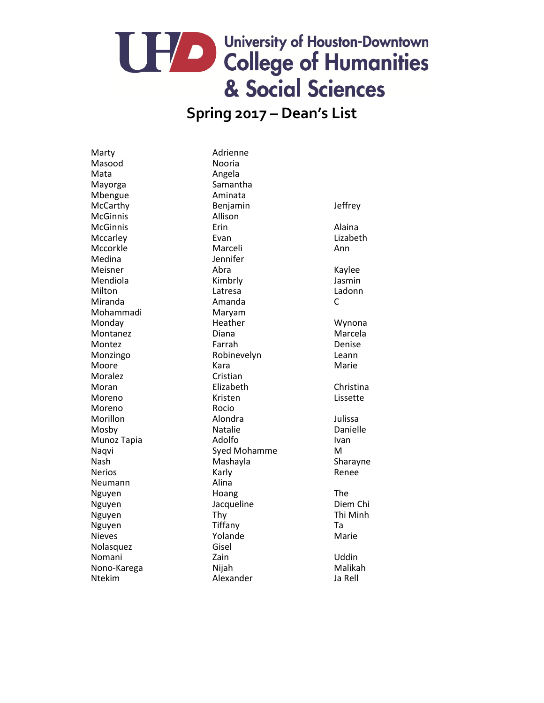#### **Spring 2017 – Dean's List**

Marty **Marty** Adrienne Masood Nooria Mata Angela Mayorga Samantha Mbengue **Aminata** McGinnis Allison Medina Jennifer Mohammadi Maryam Moralez Cristian Moreno Rocio Neumann Alina Nolasquez Gisel

McCarthy **Benjamin** Benjamin Jeffrey McGinnis Erin Alaina Mccarley **Evan** Evan Lizabeth Mccorkle Marceli Marceli Ann Meisner and Abra Abraham Kaylee Mendiola **Kimbrly** Kimbrly **Jasmin** Milton Latresa Ladonn Miranda Amanda C Monday **Heather** Heather Wynona Montanez Diana Diana Marcela Montez **Farrah** Parrah Denise Monzingo Robinevelyn Leann Moore **Marie Communist Communist Communist Communist Communist Communist Communist Communist Communist Communist Communist Communist Communist Communist Communist Communist Communist Communist Communist Communist Communist** Moran **Elizabeth** Elizabeth Christina Moreno **Moreno Communist Except** Kristen Communist Communist Lissette Morillon Alondra Alondra Julissa Mosby **Natalie Natalie Constant Matalie Constant Danielle** Munoz Tapia **Ivan** Adolfo **Ivan** Naqvi **Naqvi** Syed Mohamme M Nash Mashayla Sharayne Nerios **Karly** Karly **Renee** Nguyen **Hoang** Hoang The Nguyen **Diem Chi** Jacqueline **Diem Chi** Nguyen Thy Thy The Thi Minh Nguyen Tiffany Tiffany Ta Nieves **Marie Strutter And Accord Marie Advisor** Marie Marie Nomani Zain Uddin Nono-Karega Nijah Nijah Malikah Ntekim Alexander Ja Rell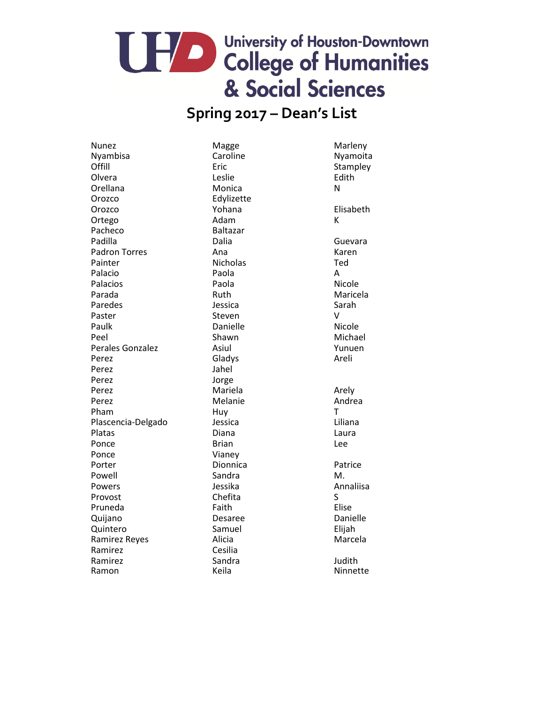#### **Spring 2017 – Dean's List**

Nunez Magge Marleny Offill **Example Exic** Eric Stampley Olvera **Leslie Contains Edith** Orellana Monica N Orozco Edylizette Orozco Yohana Elisabeth Ortego **Adam** Adam K Pacheco Baltazar Padilla **Called Barata Callia** Dalia **Called Barata Called Barata** Guevara Padron Torres **Ana** Ana Karen Painter **Nicholas Nicholas** Ted Palacio **Paola** Paola A Palacios **Paola** Paola **Nicole** Parada **Ruth** Ruth Maricela Paredes **Contracts** Sarah Jessica **Contracts** Sarah Paster **Steven** Steven V Paulk **Danielle** Nicole Peel Shawn Shawn Michael Perales Gonzalez **Asiul** Asiul Yunuen Perez **Arelian Cladys** Gladys **Arelian Claudion** Arelian Arelian Arelian Arelian Arelian Arelian Arelian Arelian Areli Perez Jahel Perez Jorge Perez Mariela Mariela Arely Perez **Melanie** Melanie Andrea Pham Than Huy Huy T Plascencia-Delgado Jessica Liliana Platas **Diana** Diana Diana Republika Laura Ponce Lee Ponce Vianey Porter **Dionnica** Patrice Powell **Sandra** Sandra M. Powers **Contract Contract Contract Annaliza** Jessika **Annaliisa** Provost Schefita Chefita Pruneda **Faith** Faith Elise Quijano Desaree Desaree Danielle Quintero Samuel Elijah Ramirez Reyes **Alicia** Alicia Marcela Ramirez Cesilia Ramirez **Sandra** Sandra **Judith** Ramon Keila Keila Ninnette

Nyamoita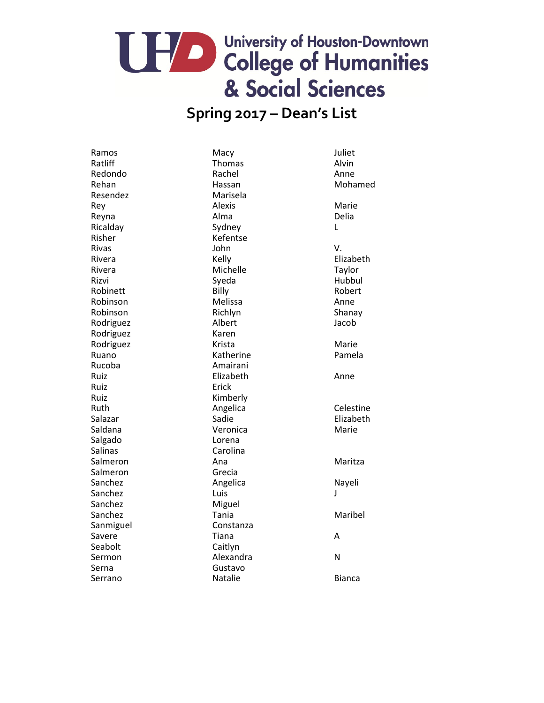#### **Spring 2017 – Dean's List**

Ramos Macy Macy Macy and Macy Macy Mac Ratliff **Thomas** Thomas Alvin Redondo **Rachel Anne** Resendez Marisela Rey **Alexis** Alexis **Alexis** Marie Reyna **Alma** Alma Delia Ricalday Sydney Sydney L Risher Kefentse Rivas John V. Rivera Michelle Michelle Taylor Rizvi Syeda Hubbul Robinett Billy Billy Robert Robinson Melissa Anne Robinson Richlyn Shanay Rodriguez Albert Albert Jacob Rodriguez Karen Rodriguez Krista Marie Ruano **Katherine** Pamela Rucoba **Amairani** Ruiz **Elizabeth** Elizabeth Anne Ruiz Erick Ruiz Kimberly Saldana **Veronica** Veronica Marie Salgado Lorena Salinas Carolina Salmeron Ana Maritza Salmeron Grecia Sanchez **Angelica** Angelica Nayeli Sanchez Luis Luis J Sanchez Miguel Sanchez Tania Maribel Sanmiguel **Constanza** Savere **Accord Accord Accord Accord Accord Accord Accord Accord Accord Accord Accord Accord Accord A** Seabolt Caitlyn Sermon Alexandra N Serna Gustavo

Serrano **Natalie Bianca** 

Rehan **Hassan** Hassan Mohamed Rivera **Kelly** Kelly **Elizabeth** Ruth **Angelica Celestine** Salazar **Sanction Sadie** Sadie **Elizabeth**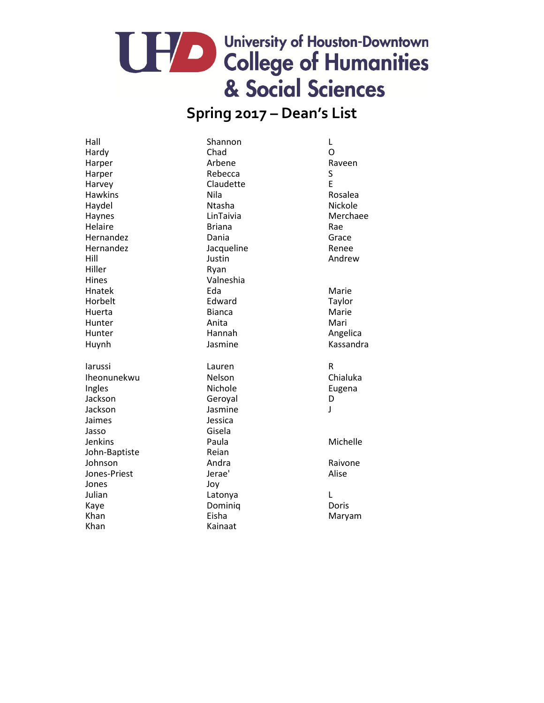### **Spring 2017 – Dean's List**

Hall Shannon L Hardy Chad O Harper **Arbene** Arbene **Raveen** Harper Sales Rebecca Sales Sales Sales Sales Sales Sales Sales Sales Sales Sales Sales Sales Sales S Harvey **Claudette** E Hawkins **Nila** Nila Rosalea Haydel Ntasha Nickole Haynes **Merchaee** LinTaivia **Merchaee** Helaire **Briana** Briana Rae Hernandez Dania Grace Hernandez Jacqueline Renee Hill Justin Andrew Hiller Ryan Hines Valneshia Hnatek **Eda** Eda Marie Horbelt **Edward** Edward Taylor Huerta Bianca Marie Hunter **Anita** Anita Mari Hunter Hannah Angelica Huynh Jasmine Kassandra Iarussi Lauren R Iheonunekwu Nelson Chialuka Ingles **Nichole Eugena** Jackson **Geroyal** Geroyal D Jackson Jasmine J Jaimes Jessica Jasso Gisela Jenkins Paula Michelle John-Baptiste Reian Johnson **Andra** Andra Raivone Jones-Priest Jerae' Alise Jones Joy Julian **Latonya** Latonya L Kaye **Dominiq** Dominiq Doris

Kainaat

Khan Eisha Maryam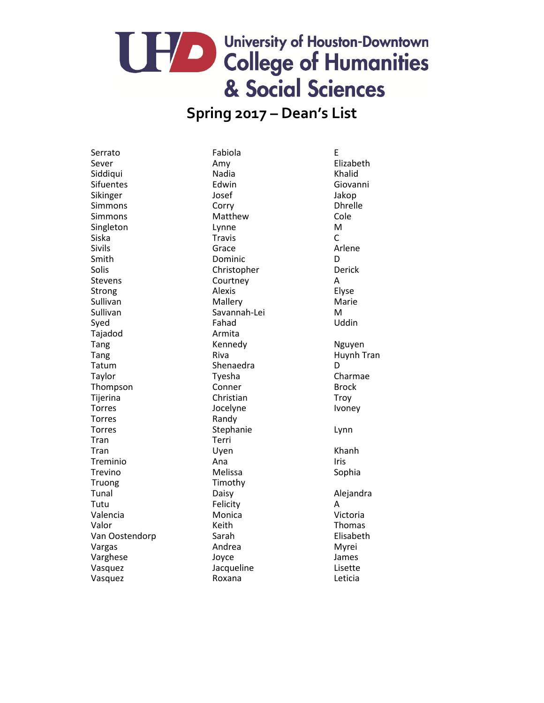#### **Spring 2017 – Dean's List**

Tajadod Armita Torres Randy Tran Terri Truong Timothy

Serrato **Exercise Exercise E** Sever **Amy** Amy Elizabeth Siddiqui **Nadia** Nadia Khalid Sifuentes Edwin Edwin Giovanni Sikinger Josef Jakop Simmons Corry Corry Dhrelle Simmons Matthew Cole Singleton Lynne M Siska Travis C Sivils **Grace Constanting Constanting Constanting Constanting Constanting Constanting Constanting Constanting Constanting Constanting Constanting Constanting Constanting Constanting Constanting Constanting Constanting Co** Smith Dominic Dominic D Solis Christopher Derick Stevens Courtney A Strong **Alexis** Alexis **Elyse** Sullivan Mallery Mallery Marie Sullivan Savannah-Lei M Syed **Fahad** Communications of the Syed Communications of the Euler Communications of the Uddin Tang Nguyen Kennedy Nguyen Tatum **Shenaedra** D Taylor **Tyesha** Charmae Thompson Conner Conner Brock Tijerina Christian Christian Troy Torres **IVO** Socelyne Ivoney Torres **Stephanie** Lynn Tran Changes Communication Communication Channel Channel Channel Channel Channel Channel Channel Channel Channel Treminio anno Ana Iris Trevino **Melissa** Melissa et al. Sophia Tunal Daisy Daisy Alejandra Tutu Felicity A Valencia Monica Victoria Valor **National Community Community** Keith Thomas **Thomas** Van Oostendorp Sarah Sarah Elisabeth Vargas Myrei Varghese Joyce James Vasquez Jacqueline Lisette Vasquez Roxana Leticia

Tang Riva Huynh Tran